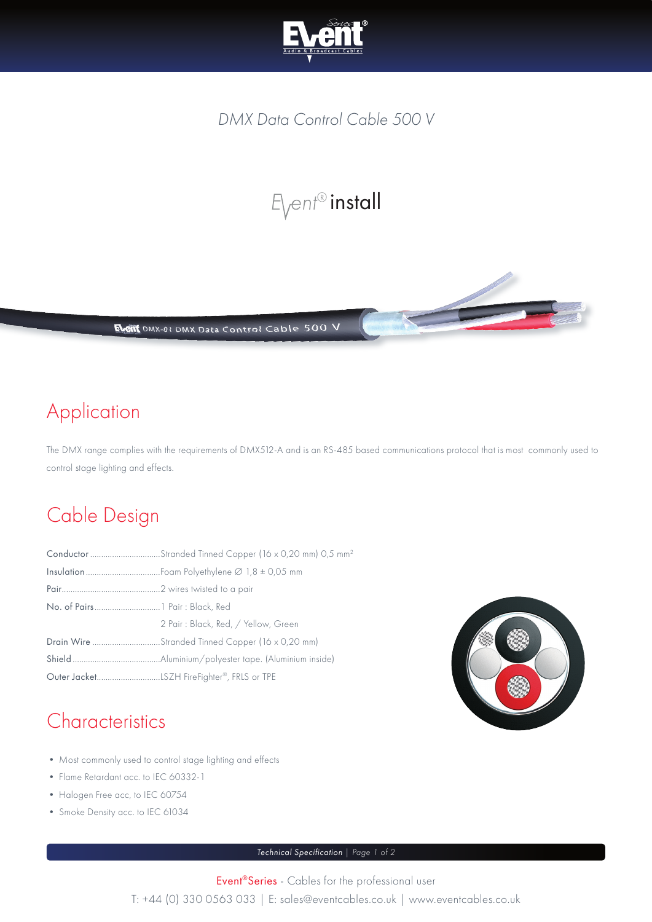

#### *DMX Data Control Cable 500 V*

# $E$ <sub>vent®</sub> install



### Application

The DMX range complies with the requirements of DMX512-A and is an RS-485 based communications protocol that is most commonly used to control stage lighting and effects.

#### Cable Design

| Conductor Stranded Tinned Copper (16 x 0,20 mm) 0,5 mm <sup>2</sup> |  |  |  |
|---------------------------------------------------------------------|--|--|--|
|                                                                     |  |  |  |
|                                                                     |  |  |  |
|                                                                     |  |  |  |
| 2 Pair: Black, Red, / Yellow, Green                                 |  |  |  |
| Drain Wire Stranded Tinned Copper (16 x 0,20 mm)                    |  |  |  |
|                                                                     |  |  |  |
|                                                                     |  |  |  |



#### **Characteristics**

- Most commonly used to control stage lighting and effects
- Flame Retardant acc. to IEC 60332-1
- Halogen Free acc, to IEC 60754
- Smoke Density acc. to IEC 61034

*Technical Specification | Page 1 of 2*

Event®Series - Cables for the professional user T: +44 (0) 330 0563 033 | E: sales@eventcables.co.uk | www.eventcables.co.uk